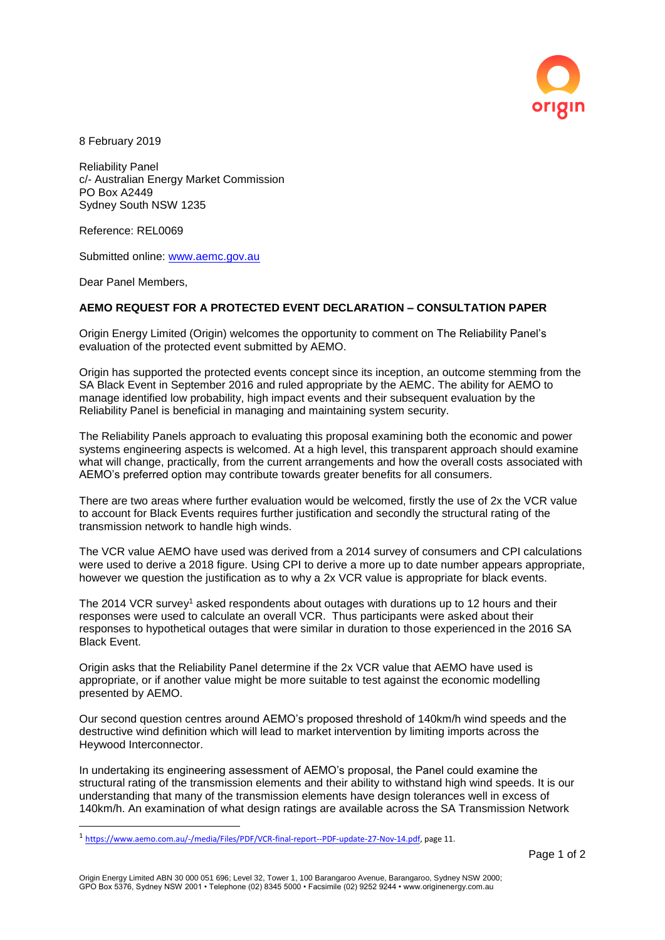

8 February 2019

Reliability Panel c/- Australian Energy Market Commission PO Box A2449 Sydney South NSW 1235

Reference: REL0069

Submitted online: [www.aemc.gov.au](http://www.aemc.gov.au/)

Dear Panel Members,

 $\overline{a}$ 

## **AEMO REQUEST FOR A PROTECTED EVENT DECLARATION – CONSULTATION PAPER**

Origin Energy Limited (Origin) welcomes the opportunity to comment on The Reliability Panel's evaluation of the protected event submitted by AEMO.

Origin has supported the protected events concept since its inception, an outcome stemming from the SA Black Event in September 2016 and ruled appropriate by the AEMC. The ability for AEMO to manage identified low probability, high impact events and their subsequent evaluation by the Reliability Panel is beneficial in managing and maintaining system security.

The Reliability Panels approach to evaluating this proposal examining both the economic and power systems engineering aspects is welcomed. At a high level, this transparent approach should examine what will change, practically, from the current arrangements and how the overall costs associated with AEMO's preferred option may contribute towards greater benefits for all consumers.

There are two areas where further evaluation would be welcomed, firstly the use of 2x the VCR value to account for Black Events requires further justification and secondly the structural rating of the transmission network to handle high winds.

The VCR value AEMO have used was derived from a 2014 survey of consumers and CPI calculations were used to derive a 2018 figure. Using CPI to derive a more up to date number appears appropriate, however we question the justification as to why a 2x VCR value is appropriate for black events.

The 2014 VCR survey<sup>1</sup> asked respondents about outages with durations up to 12 hours and their responses were used to calculate an overall VCR. Thus participants were asked about their responses to hypothetical outages that were similar in duration to those experienced in the 2016 SA Black Event.

Origin asks that the Reliability Panel determine if the 2x VCR value that AEMO have used is appropriate, or if another value might be more suitable to test against the economic modelling presented by AEMO.

Our second question centres around AEMO's proposed threshold of 140km/h wind speeds and the destructive wind definition which will lead to market intervention by limiting imports across the Heywood Interconnector.

In undertaking its engineering assessment of AEMO's proposal, the Panel could examine the structural rating of the transmission elements and their ability to withstand high wind speeds. It is our understanding that many of the transmission elements have design tolerances well in excess of 140km/h. An examination of what design ratings are available across the SA Transmission Network

<sup>&</sup>lt;sup>1</sup> [https://www.aemo.com.au/-/media/Files/PDF/VCR-final-report--PDF-update-27-Nov-14.pdf,](https://www.aemo.com.au/-/media/Files/PDF/VCR-final-report--PDF-update-27-Nov-14.pdf) page 11.